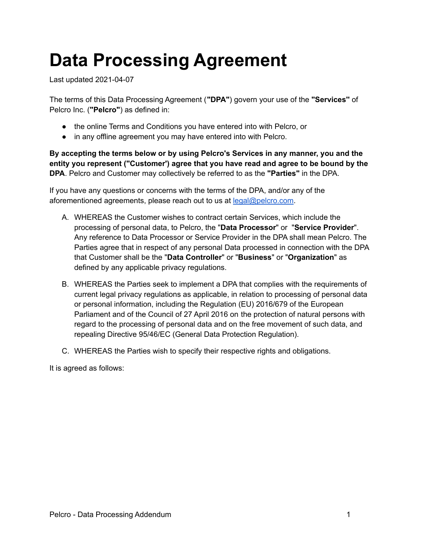# **Data Processing Agreement**

Last updated 2021-04-07

The terms of this Data Processing Agreement (**"DPA"**) govern your use of the **"Services''** of Pelcro Inc. (**"Pelcro"**) as defined in:

- the online Terms and Conditions you have entered into with Pelcro, or
- in any offline agreement you may have entered into with Pelcro.

**By accepting the terms below or by using Pelcro's Services in any manner, you and the entity you represent ("Customer') agree that you have read and agree to be bound by the DPA**. Pelcro and Customer may collectively be referred to as the **"Parties"** in the DPA.

If you have any questions or concerns with the terms of the DPA, and/or any of the aforementioned agreements, please reach out to us at [legal@pelcro.com](mailto:legal@pelcro.com).

- A. WHEREAS the Customer wishes to contract certain Services, which include the processing of personal data, to Pelcro, the "**Data Processor**" or "**Service Provider**". Any reference to Data Processor or Service Provider in the DPA shall mean Pelcro. The Parties agree that in respect of any personal Data processed in connection with the DPA that Customer shall be the "**Data Controller**" or "**Business**" or "**Organization**" as defined by any applicable privacy regulations.
- B. WHEREAS the Parties seek to implement a DPA that complies with the requirements of current legal privacy regulations as applicable, in relation to processing of personal data or personal information, including the Regulation (EU) 2016/679 of the European Parliament and of the Council of 27 April 2016 on the protection of natural persons with regard to the processing of personal data and on the free movement of such data, and repealing Directive 95/46/EC (General Data Protection Regulation).
- C. WHEREAS the Parties wish to specify their respective rights and obligations.

It is agreed as follows: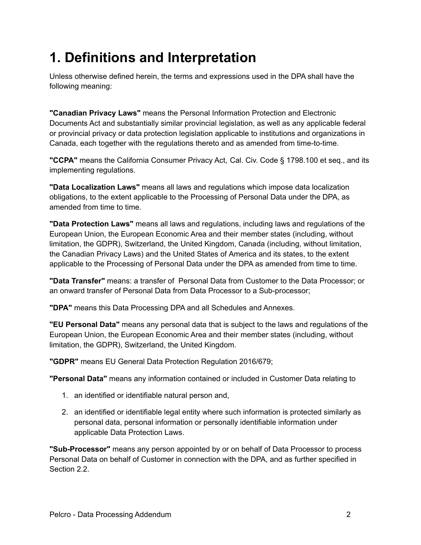## **1. Definitions and Interpretation**

Unless otherwise defined herein, the terms and expressions used in the DPA shall have the following meaning:

**"Canadian Privacy Laws"** means the Personal Information Protection and Electronic Documents Act and substantially similar provincial legislation, as well as any applicable federal or provincial privacy or data protection legislation applicable to institutions and organizations in Canada, each together with the regulations thereto and as amended from time-to-time.

**"CCPA"** means the California Consumer Privacy Act, Cal. Civ. Code § 1798.100 et seq., and its implementing regulations.

**"Data Localization Laws"** means all laws and regulations which impose data localization obligations, to the extent applicable to the Processing of Personal Data under the DPA, as amended from time to time.

**"Data Protection Laws"** means all laws and regulations, including laws and regulations of the European Union, the European Economic Area and their member states (including, without limitation, the GDPR), Switzerland, the United Kingdom, Canada (including, without limitation, the Canadian Privacy Laws) and the United States of America and its states, to the extent applicable to the Processing of Personal Data under the DPA as amended from time to time.

**"Data Transfer"** means: a transfer of Personal Data from Customer to the Data Processor; or an onward transfer of Personal Data from Data Processor to a Sub-processor;

**"DPA"** means this Data Processing DPA and all Schedules and Annexes.

**"EU Personal Data"** means any personal data that is subject to the laws and regulations of the European Union, the European Economic Area and their member states (including, without limitation, the GDPR), Switzerland, the United Kingdom.

**"GDPR"** means EU General Data Protection Regulation 2016/679;

**"Personal Data"** means any information contained or included in Customer Data relating to

- 1. an identified or identifiable natural person and,
- 2. an identified or identifiable legal entity where such information is protected similarly as personal data, personal information or personally identifiable information under applicable Data Protection Laws.

**"Sub-Processor"** means any person appointed by or on behalf of Data Processor to process Personal Data on behalf of Customer in connection with the DPA, and as further specified in Section 2.2.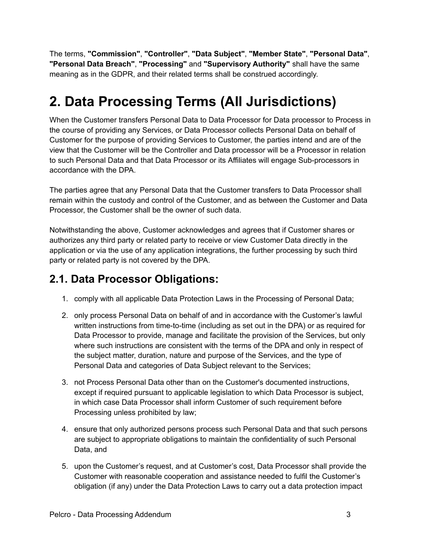The terms, **"Commission"**, **"Controller"**, **"Data Subject"**, **"Member State"**, **"Personal Data"**, **"Personal Data Breach"**, **"Processing"** and **"Supervisory Authority"** shall have the same meaning as in the GDPR, and their related terms shall be construed accordingly.

## **2. Data Processing Terms (All Jurisdictions)**

When the Customer transfers Personal Data to Data Processor for Data processor to Process in the course of providing any Services, or Data Processor collects Personal Data on behalf of Customer for the purpose of providing Services to Customer, the parties intend and are of the view that the Customer will be the Controller and Data processor will be a Processor in relation to such Personal Data and that Data Processor or its Affiliates will engage Sub-processors in accordance with the DPA.

The parties agree that any Personal Data that the Customer transfers to Data Processor shall remain within the custody and control of the Customer, and as between the Customer and Data Processor, the Customer shall be the owner of such data.

Notwithstanding the above, Customer acknowledges and agrees that if Customer shares or authorizes any third party or related party to receive or view Customer Data directly in the application or via the use of any application integrations, the further processing by such third party or related party is not covered by the DPA.

## **2.1. Data Processor Obligations:**

- 1. comply with all applicable Data Protection Laws in the Processing of Personal Data;
- 2. only process Personal Data on behalf of and in accordance with the Customer's lawful written instructions from time-to-time (including as set out in the DPA) or as required for Data Processor to provide, manage and facilitate the provision of the Services, but only where such instructions are consistent with the terms of the DPA and only in respect of the subject matter, duration, nature and purpose of the Services, and the type of Personal Data and categories of Data Subject relevant to the Services;
- 3. not Process Personal Data other than on the Customer's documented instructions, except if required pursuant to applicable legislation to which Data Processor is subject, in which case Data Processor shall inform Customer of such requirement before Processing unless prohibited by law;
- 4. ensure that only authorized persons process such Personal Data and that such persons are subject to appropriate obligations to maintain the confidentiality of such Personal Data, and
- 5. upon the Customer's request, and at Customer's cost, Data Processor shall provide the Customer with reasonable cooperation and assistance needed to fulfil the Customer's obligation (if any) under the Data Protection Laws to carry out a data protection impact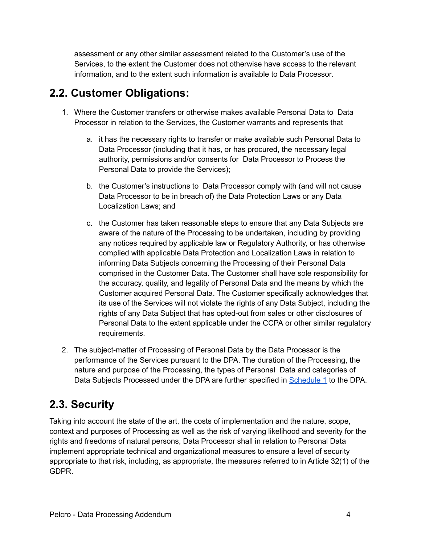assessment or any other similar assessment related to the Customer's use of the Services, to the extent the Customer does not otherwise have access to the relevant information, and to the extent such information is available to Data Processor.

### **2.2. Customer Obligations:**

- 1. Where the Customer transfers or otherwise makes available Personal Data to Data Processor in relation to the Services, the Customer warrants and represents that
	- a. it has the necessary rights to transfer or make available such Personal Data to Data Processor (including that it has, or has procured, the necessary legal authority, permissions and/or consents for Data Processor to Process the Personal Data to provide the Services);
	- b. the Customer's instructions to Data Processor comply with (and will not cause Data Processor to be in breach of) the Data Protection Laws or any Data Localization Laws; and
	- c. the Customer has taken reasonable steps to ensure that any Data Subjects are aware of the nature of the Processing to be undertaken, including by providing any notices required by applicable law or Regulatory Authority, or has otherwise complied with applicable Data Protection and Localization Laws in relation to informing Data Subjects concerning the Processing of their Personal Data comprised in the Customer Data. The Customer shall have sole responsibility for the accuracy, quality, and legality of Personal Data and the means by which the Customer acquired Personal Data. The Customer specifically acknowledges that its use of the Services will not violate the rights of any Data Subject, including the rights of any Data Subject that has opted-out from sales or other disclosures of Personal Data to the extent applicable under the CCPA or other similar regulatory requirements.
- 2. The subject-matter of Processing of Personal Data by the Data Processor is the performance of the Services pursuant to the DPA. The duration of the Processing, the nature and purpose of the Processing, the types of Personal Data and categories of Data Subjects Processed under the DPA are further specified in Schedule 1 to the DPA.

### **2.3. Security**

Taking into account the state of the art, the costs of implementation and the nature, scope, context and purposes of Processing as well as the risk of varying likelihood and severity for the rights and freedoms of natural persons, Data Processor shall in relation to Personal Data implement appropriate technical and organizational measures to ensure a level of security appropriate to that risk, including, as appropriate, the measures referred to in Article 32(1) of the GDPR.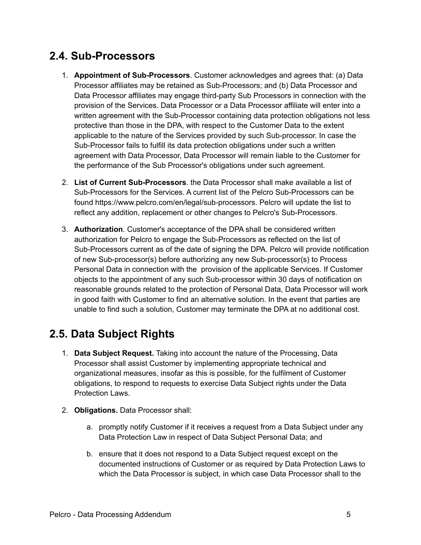### **2.4. Sub-Processors**

- 1. **Appointment of Sub-Processors**. Customer acknowledges and agrees that: (a) Data Processor affiliates may be retained as Sub-Processors; and (b) Data Processor and Data Processor affiliates may engage third-party Sub Processors in connection with the provision of the Services. Data Processor or a Data Processor affiliate will enter into a written agreement with the Sub-Processor containing data protection obligations not less protective than those in the DPA, with respect to the Customer Data to the extent applicable to the nature of the Services provided by such Sub-processor. In case the Sub-Processor fails to fulfill its data protection obligations under such a written agreement with Data Processor, Data Processor will remain liable to the Customer for the performance of the Sub Processor's obligations under such agreement.
- 2. **List of Current Sub-Processors**. the Data Processor shall make available a list of Sub-Processors for the Services. A current list of the Pelcro Sub-Processors can be found https://www.pelcro.com/en/legal/sub-processors. Pelcro will update the list to reflect any addition, replacement or other changes to Pelcro's Sub-Processors.
- 3. **Authorization**. Customer's acceptance of the DPA shall be considered written authorization for Pelcro to engage the Sub-Processors as reflected on the list of Sub-Processors current as of the date of signing the DPA. Pelcro will provide notification of new Sub-processor(s) before authorizing any new Sub-processor(s) to Process Personal Data in connection with the provision of the applicable Services. If Customer objects to the appointment of any such Sub-processor within 30 days of notification on reasonable grounds related to the protection of Personal Data, Data Processor will work in good faith with Customer to find an alternative solution. In the event that parties are unable to find such a solution, Customer may terminate the DPA at no additional cost.

## **2.5. Data Subject Rights**

- 1. **Data Subject Request.** Taking into account the nature of the Processing, Data Processor shall assist Customer by implementing appropriate technical and organizational measures, insofar as this is possible, for the fulfilment of Customer obligations, to respond to requests to exercise Data Subject rights under the Data Protection Laws.
- 2. **Obligations.** Data Processor shall:
	- a. promptly notify Customer if it receives a request from a Data Subject under any Data Protection Law in respect of Data Subject Personal Data; and
	- b. ensure that it does not respond to a Data Subject request except on the documented instructions of Customer or as required by Data Protection Laws to which the Data Processor is subject, in which case Data Processor shall to the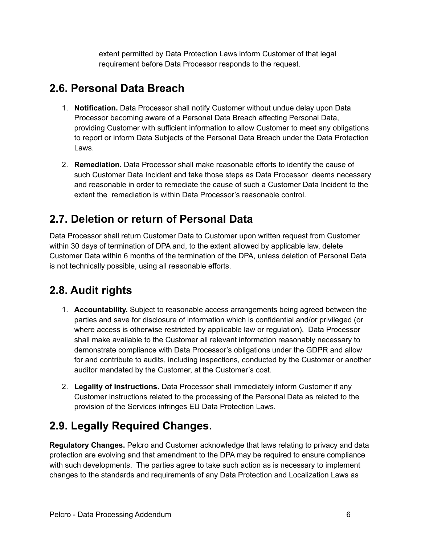extent permitted by Data Protection Laws inform Customer of that legal requirement before Data Processor responds to the request.

### **2.6. Personal Data Breach**

- 1. **Notification.** Data Processor shall notify Customer without undue delay upon Data Processor becoming aware of a Personal Data Breach affecting Personal Data, providing Customer with sufficient information to allow Customer to meet any obligations to report or inform Data Subjects of the Personal Data Breach under the Data Protection Laws.
- 2. **Remediation.** Data Processor shall make reasonable efforts to identify the cause of such Customer Data Incident and take those steps as Data Processor deems necessary and reasonable in order to remediate the cause of such a Customer Data Incident to the extent the remediation is within Data Processor's reasonable control.

## **2.7. Deletion or return of Personal Data**

Data Processor shall return Customer Data to Customer upon written request from Customer within 30 days of termination of DPA and, to the extent allowed by applicable law, delete Customer Data within 6 months of the termination of the DPA, unless deletion of Personal Data is not technically possible, using all reasonable efforts.

## **2.8. Audit rights**

- 1. **Accountability.** Subject to reasonable access arrangements being agreed between the parties and save for disclosure of information which is confidential and/or privileged (or where access is otherwise restricted by applicable law or regulation), Data Processor shall make available to the Customer all relevant information reasonably necessary to demonstrate compliance with Data Processor's obligations under the GDPR and allow for and contribute to audits, including inspections, conducted by the Customer or another auditor mandated by the Customer, at the Customer's cost.
- 2. **Legality of Instructions.** Data Processor shall immediately inform Customer if any Customer instructions related to the processing of the Personal Data as related to the provision of the Services infringes EU Data Protection Laws.

## **2.9. Legally Required Changes.**

**Regulatory Changes.** Pelcro and Customer acknowledge that laws relating to privacy and data protection are evolving and that amendment to the DPA may be required to ensure compliance with such developments. The parties agree to take such action as is necessary to implement changes to the standards and requirements of any Data Protection and Localization Laws as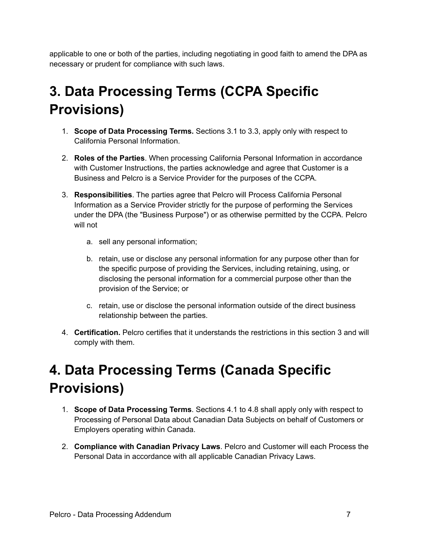applicable to one or both of the parties, including negotiating in good faith to amend the DPA as necessary or prudent for compliance with such laws.

## **3. Data Processing Terms (CCPA Specific Provisions)**

- 1. **Scope of Data Processing Terms.** Sections 3.1 to 3.3, apply only with respect to California Personal Information.
- 2. **Roles of the Parties**. When processing California Personal Information in accordance with Customer Instructions, the parties acknowledge and agree that Customer is a Business and Pelcro is a Service Provider for the purposes of the CCPA.
- 3. **Responsibilities**. The parties agree that Pelcro will Process California Personal Information as a Service Provider strictly for the purpose of performing the Services under the DPA (the "Business Purpose") or as otherwise permitted by the CCPA. Pelcro will not
	- a. sell any personal information;
	- b. retain, use or disclose any personal information for any purpose other than for the specific purpose of providing the Services, including retaining, using, or disclosing the personal information for a commercial purpose other than the provision of the Service; or
	- c. retain, use or disclose the personal information outside of the direct business relationship between the parties.
- 4. **Certification.** Pelcro certifies that it understands the restrictions in this section 3 and will comply with them.

## **4. Data Processing Terms (Canada Specific Provisions)**

- 1. **Scope of Data Processing Terms**. Sections 4.1 to 4.8 shall apply only with respect to Processing of Personal Data about Canadian Data Subjects on behalf of Customers or Employers operating within Canada.
- 2. **Compliance with Canadian Privacy Laws**. Pelcro and Customer will each Process the Personal Data in accordance with all applicable Canadian Privacy Laws.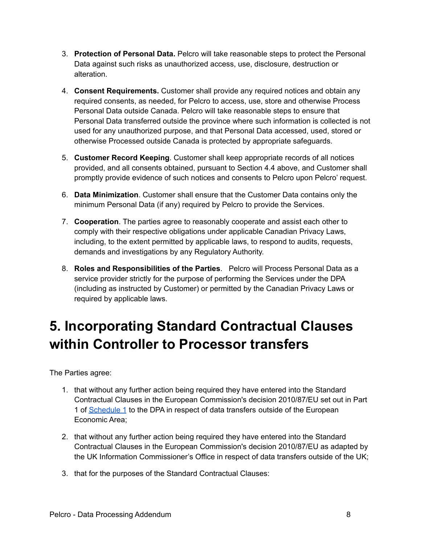- 3. **Protection of Personal Data.** Pelcro will take reasonable steps to protect the Personal Data against such risks as unauthorized access, use, disclosure, destruction or alteration.
- 4. **Consent Requirements.** Customer shall provide any required notices and obtain any required consents, as needed, for Pelcro to access, use, store and otherwise Process Personal Data outside Canada. Pelcro will take reasonable steps to ensure that Personal Data transferred outside the province where such information is collected is not used for any unauthorized purpose, and that Personal Data accessed, used, stored or otherwise Processed outside Canada is protected by appropriate safeguards.
- 5. **Customer Record Keeping**. Customer shall keep appropriate records of all notices provided, and all consents obtained, pursuant to Section 4.4 above, and Customer shall promptly provide evidence of such notices and consents to Pelcro upon Pelcro' request.
- 6. **Data Minimization**. Customer shall ensure that the Customer Data contains only the minimum Personal Data (if any) required by Pelcro to provide the Services.
- 7. **Cooperation**. The parties agree to reasonably cooperate and assist each other to comply with their respective obligations under applicable Canadian Privacy Laws, including, to the extent permitted by applicable laws, to respond to audits, requests, demands and investigations by any Regulatory Authority.
- 8. **Roles and Responsibilities of the Parties**. Pelcro will Process Personal Data as a service provider strictly for the purpose of performing the Services under the DPA (including as instructed by Customer) or permitted by the Canadian Privacy Laws or required by applicable laws.

## **5. Incorporating Standard Contractual Clauses within Controller to Processor transfers**

The Parties agree:

- 1. that without any further action being required they have entered into the Standard Contractual Clauses in the European Commission's decision 2010/87/EU set out in Part 1 of Schedule 1 to the DPA in respect of data transfers outside of the European Economic Area;
- 2. that without any further action being required they have entered into the Standard Contractual Clauses in the European Commission's decision 2010/87/EU as adapted by the UK Information Commissioner's Office in respect of data transfers outside of the UK;
- 3. that for the purposes of the Standard Contractual Clauses: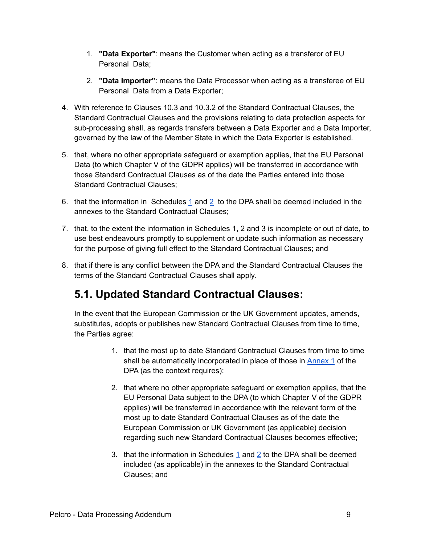- 1. **"Data Exporter"**: means the Customer when acting as a transferor of EU Personal Data;
- 2. **"Data Importer"**: means the Data Processor when acting as a transferee of EU Personal Data from a Data Exporter;
- 4. With reference to Clauses 10.3 and 10.3.2 of the Standard Contractual Clauses, the Standard Contractual Clauses and the provisions relating to data protection aspects for sub-processing shall, as regards transfers between a Data Exporter and a Data Importer, governed by the law of the Member State in which the Data Exporter is established.
- 5. that, where no other appropriate safeguard or exemption applies, that the EU Personal Data (to which Chapter V of the GDPR applies) will be transferred in accordance with those Standard Contractual Clauses as of the date the Parties entered into those Standard Contractual Clauses;
- 6. that the information in Schedules 1 and 2 to the DPA shall be deemed included in the annexes to the Standard Contractual Clauses;
- 7. that, to the extent the information in Schedules 1, 2 and 3 is incomplete or out of date, to use best endeavours promptly to supplement or update such information as necessary for the purpose of giving full effect to the Standard Contractual Clauses; and
- 8. that if there is any conflict between the DPA and the Standard Contractual Clauses the terms of the Standard Contractual Clauses shall apply.

### **5.1. Updated Standard Contractual Clauses:**

In the event that the European Commission or the UK Government updates, amends, substitutes, adopts or publishes new Standard Contractual Clauses from time to time, the Parties agree:

- 1. that the most up to date Standard Contractual Clauses from time to time shall be automatically incorporated in place of those in Annex 1 of the DPA (as the context requires);
- 2. that where no other appropriate safeguard or exemption applies, that the EU Personal Data subject to the DPA (to which Chapter V of the GDPR applies) will be transferred in accordance with the relevant form of the most up to date Standard Contractual Clauses as of the date the European Commission or UK Government (as applicable) decision regarding such new Standard Contractual Clauses becomes effective;
- 3. that the information in Schedules  $1$  and  $2$  to the DPA shall be deemed included (as applicable) in the annexes to the Standard Contractual Clauses; and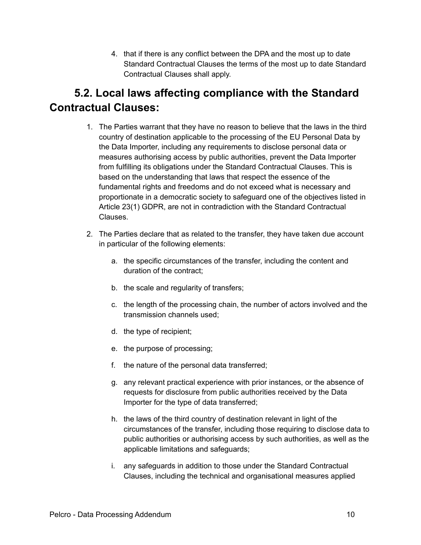4. that if there is any conflict between the DPA and the most up to date Standard Contractual Clauses the terms of the most up to date Standard Contractual Clauses shall apply.

### **5.2. Local laws affecting compliance with the Standard Contractual Clauses:**

- 1. The Parties warrant that they have no reason to believe that the laws in the third country of destination applicable to the processing of the EU Personal Data by the Data Importer, including any requirements to disclose personal data or measures authorising access by public authorities, prevent the Data Importer from fulfilling its obligations under the Standard Contractual Clauses. This is based on the understanding that laws that respect the essence of the fundamental rights and freedoms and do not exceed what is necessary and proportionate in a democratic society to safeguard one of the objectives listed in Article 23(1) GDPR, are not in contradiction with the Standard Contractual Clauses.
- 2. The Parties declare that as related to the transfer, they have taken due account in particular of the following elements:
	- a. the specific circumstances of the transfer, including the content and duration of the contract;
	- b. the scale and regularity of transfers;
	- c. the length of the processing chain, the number of actors involved and the transmission channels used;
	- d. the type of recipient;
	- e. the purpose of processing;
	- f. the nature of the personal data transferred;
	- g. any relevant practical experience with prior instances, or the absence of requests for disclosure from public authorities received by the Data Importer for the type of data transferred;
	- h. the laws of the third country of destination relevant in light of the circumstances of the transfer, including those requiring to disclose data to public authorities or authorising access by such authorities, as well as the applicable limitations and safeguards;
	- i. any safeguards in addition to those under the Standard Contractual Clauses, including the technical and organisational measures applied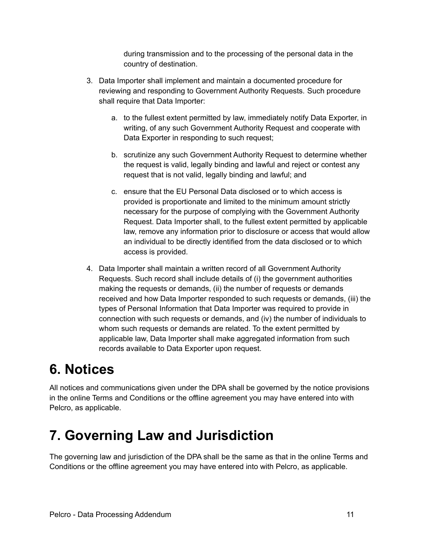during transmission and to the processing of the personal data in the country of destination.

- 3. Data Importer shall implement and maintain a documented procedure for reviewing and responding to Government Authority Requests. Such procedure shall require that Data Importer:
	- a. to the fullest extent permitted by law, immediately notify Data Exporter, in writing, of any such Government Authority Request and cooperate with Data Exporter in responding to such request;
	- b. scrutinize any such Government Authority Request to determine whether the request is valid, legally binding and lawful and reject or contest any request that is not valid, legally binding and lawful; and
	- c. ensure that the EU Personal Data disclosed or to which access is provided is proportionate and limited to the minimum amount strictly necessary for the purpose of complying with the Government Authority Request. Data Importer shall, to the fullest extent permitted by applicable law, remove any information prior to disclosure or access that would allow an individual to be directly identified from the data disclosed or to which access is provided.
- 4. Data Importer shall maintain a written record of all Government Authority Requests. Such record shall include details of (i) the government authorities making the requests or demands, (ii) the number of requests or demands received and how Data Importer responded to such requests or demands, (iii) the types of Personal Information that Data Importer was required to provide in connection with such requests or demands, and (iv) the number of individuals to whom such requests or demands are related. To the extent permitted by applicable law, Data Importer shall make aggregated information from such records available to Data Exporter upon request.

## **6. Notices**

All notices and communications given under the DPA shall be governed by the notice provisions in the online Terms and Conditions or the offline agreement you may have entered into with Pelcro, as applicable.

## **7. Governing Law and Jurisdiction**

The governing law and jurisdiction of the DPA shall be the same as that in the online Terms and Conditions or the offline agreement you may have entered into with Pelcro, as applicable.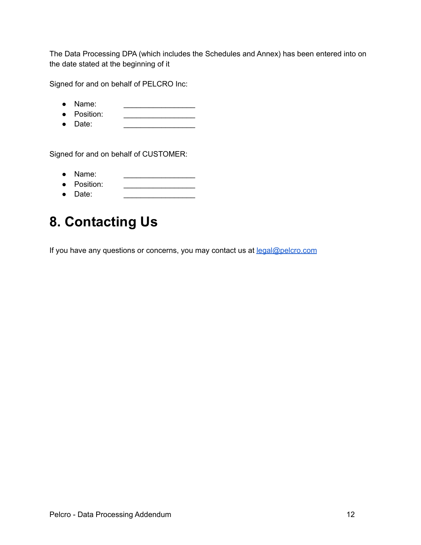The Data Processing DPA (which includes the Schedules and Annex) has been entered into on the date stated at the beginning of it

Signed for and on behalf of PELCRO Inc:

- Name: \_\_\_\_\_\_\_\_\_\_\_\_\_\_\_\_\_
- Position:
- Date: \_\_\_\_\_\_\_\_\_\_\_\_\_\_\_\_\_

Signed for and on behalf of CUSTOMER:

- Name:
- Position: \_\_\_\_\_\_\_\_\_\_\_\_\_\_\_\_\_\_\_
- Date: \_\_\_\_\_\_\_\_\_\_\_\_\_\_\_\_\_

## **8. Contacting Us**

If you have any questions or concerns, you may contact us at **[legal@pelcro.com](mailto:legal@pelcro.com)**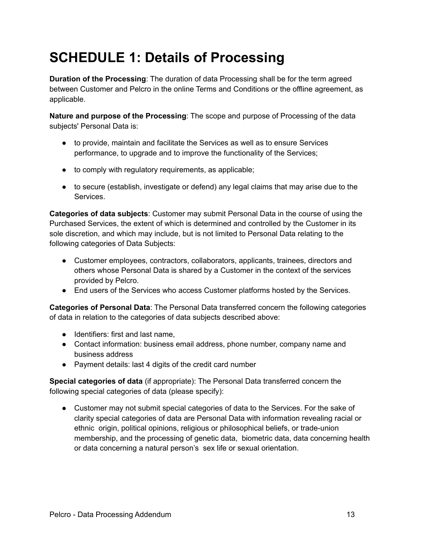## **SCHEDULE 1: Details of Processing**

**Duration of the Processing**: The duration of data Processing shall be for the term agreed between Customer and Pelcro in the online Terms and Conditions or the offline agreement, as applicable.

**Nature and purpose of the Processing**: The scope and purpose of Processing of the data subjects' Personal Data is:

- to provide, maintain and facilitate the Services as well as to ensure Services performance, to upgrade and to improve the functionality of the Services;
- to comply with regulatory requirements, as applicable;
- to secure (establish, investigate or defend) any legal claims that may arise due to the Services.

**Categories of data subjects**: Customer may submit Personal Data in the course of using the Purchased Services, the extent of which is determined and controlled by the Customer in its sole discretion, and which may include, but is not limited to Personal Data relating to the following categories of Data Subjects:

- Customer employees, contractors, collaborators, applicants, trainees, directors and others whose Personal Data is shared by a Customer in the context of the services provided by Pelcro.
- End users of the Services who access Customer platforms hosted by the Services.

**Categories of Personal Data**: The Personal Data transferred concern the following categories of data in relation to the categories of data subjects described above:

- Identifiers: first and last name.
- Contact information: business email address, phone number, company name and business address
- Payment details: last 4 digits of the credit card number

**Special categories of data** (if appropriate): The Personal Data transferred concern the following special categories of data (please specify):

● Customer may not submit special categories of data to the Services. For the sake of clarity special categories of data are Personal Data with information revealing racial or ethnic origin, political opinions, religious or philosophical beliefs, or trade-union membership, and the processing of genetic data, biometric data, data concerning health or data concerning a natural person's sex life or sexual orientation.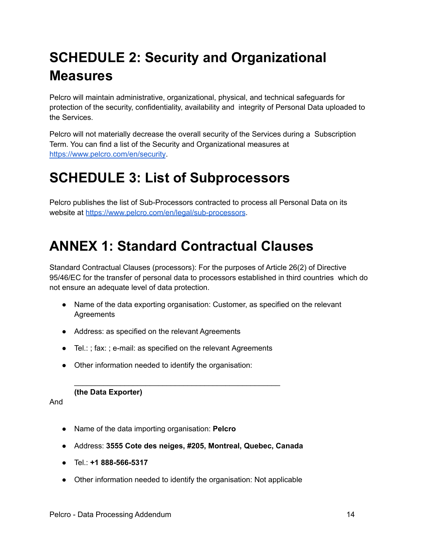## **SCHEDULE 2: Security and Organizational Measures**

Pelcro will maintain administrative, organizational, physical, and technical safeguards for protection of the security, confidentiality, availability and integrity of Personal Data uploaded to the Services.

Pelcro will not materially decrease the overall security of the Services during a Subscription Term. You can find a list of the Security and Organizational measures at <https://www.pelcro.com/en/security>.

## **SCHEDULE 3: List of Subprocessors**

Pelcro publishes the list of Sub-Processors contracted to process all Personal Data on its website at <https://www.pelcro.com/en/legal/sub-processors>.

## **ANNEX 1: Standard Contractual Clauses**

Standard Contractual Clauses (processors): For the purposes of Article 26(2) of Directive 95/46/EC for the transfer of personal data to processors established in third countries which do not ensure an adequate level of data protection.

- Name of the data exporting organisation: Customer, as specified on the relevant **Agreements**
- Address: as specified on the relevant Agreements
- Tel.: ; fax: ; e-mail: as specified on the relevant Agreements

\_\_\_\_\_\_\_\_\_\_\_\_\_\_\_\_\_\_\_\_\_\_\_\_\_\_\_\_\_\_\_\_\_\_\_\_\_\_\_\_\_\_\_\_\_\_\_\_\_

● Other information needed to identify the organisation:

**(the Data Exporter)**

And

- Name of the data importing organisation: **Pelcro**
- Address: **3555 Cote des neiges, #205, Montreal, Quebec, Canada**
- Tel.: **+1 888-566-5317**
- Other information needed to identify the organisation: Not applicable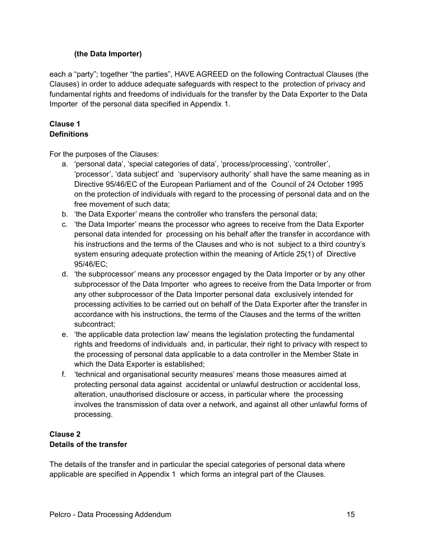#### **(the Data Importer)**

each a "party"; together "the parties", HAVE AGREED on the following Contractual Clauses (the Clauses) in order to adduce adequate safeguards with respect to the protection of privacy and fundamental rights and freedoms of individuals for the transfer by the Data Exporter to the Data Importer of the personal data specified in Appendix 1.

#### **Clause 1 Definitions**

For the purposes of the Clauses:

- a. 'personal data', 'special categories of data', 'process/processing', 'controller', 'processor', 'data subject' and 'supervisory authority' shall have the same meaning as in Directive 95/46/EC of the European Parliament and of the Council of 24 October 1995 on the protection of individuals with regard to the processing of personal data and on the free movement of such data;
- b. 'the Data Exporter' means the controller who transfers the personal data;
- c. 'the Data Importer' means the processor who agrees to receive from the Data Exporter personal data intended for processing on his behalf after the transfer in accordance with his instructions and the terms of the Clauses and who is not subject to a third country's system ensuring adequate protection within the meaning of Article 25(1) of Directive 95/46/EC;
- d. 'the subprocessor' means any processor engaged by the Data Importer or by any other subprocessor of the Data Importer who agrees to receive from the Data Importer or from any other subprocessor of the Data Importer personal data exclusively intended for processing activities to be carried out on behalf of the Data Exporter after the transfer in accordance with his instructions, the terms of the Clauses and the terms of the written subcontract;
- e. 'the applicable data protection law' means the legislation protecting the fundamental rights and freedoms of individuals and, in particular, their right to privacy with respect to the processing of personal data applicable to a data controller in the Member State in which the Data Exporter is established;
- f. 'technical and organisational security measures' means those measures aimed at protecting personal data against accidental or unlawful destruction or accidental loss, alteration, unauthorised disclosure or access, in particular where the processing involves the transmission of data over a network, and against all other unlawful forms of processing.

#### **Clause 2 Details of the transfer**

The details of the transfer and in particular the special categories of personal data where applicable are specified in Appendix 1 which forms an integral part of the Clauses.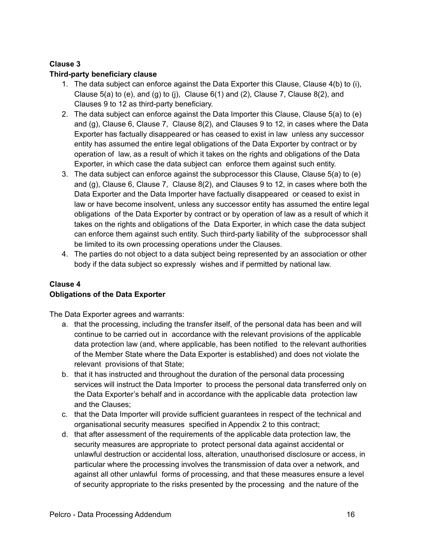#### **Clause 3**

#### **Third-party beneficiary clause**

- 1. The data subject can enforce against the Data Exporter this Clause, Clause 4(b) to (i), Clause  $5(a)$  to (e), and (g) to (j), Clause  $6(1)$  and (2), Clause 7, Clause  $8(2)$ , and Clauses 9 to 12 as third-party beneficiary.
- 2. The data subject can enforce against the Data Importer this Clause, Clause 5(a) to (e) and (g), Clause 6, Clause 7, Clause 8(2), and Clauses 9 to 12, in cases where the Data Exporter has factually disappeared or has ceased to exist in law unless any successor entity has assumed the entire legal obligations of the Data Exporter by contract or by operation of law, as a result of which it takes on the rights and obligations of the Data Exporter, in which case the data subject can enforce them against such entity.
- 3. The data subject can enforce against the subprocessor this Clause, Clause 5(a) to (e) and (g), Clause 6, Clause 7, Clause 8(2), and Clauses 9 to 12, in cases where both the Data Exporter and the Data Importer have factually disappeared or ceased to exist in law or have become insolvent, unless any successor entity has assumed the entire legal obligations of the Data Exporter by contract or by operation of law as a result of which it takes on the rights and obligations of the Data Exporter, in which case the data subject can enforce them against such entity. Such third-party liability of the subprocessor shall be limited to its own processing operations under the Clauses.
- 4. The parties do not object to a data subject being represented by an association or other body if the data subject so expressly wishes and if permitted by national law.

#### **Clause 4 Obligations of the Data Exporter**

The Data Exporter agrees and warrants:

- a. that the processing, including the transfer itself, of the personal data has been and will continue to be carried out in accordance with the relevant provisions of the applicable data protection law (and, where applicable, has been notified to the relevant authorities of the Member State where the Data Exporter is established) and does not violate the relevant provisions of that State;
- b. that it has instructed and throughout the duration of the personal data processing services will instruct the Data Importer to process the personal data transferred only on the Data Exporter's behalf and in accordance with the applicable data protection law and the Clauses;
- c. that the Data Importer will provide sufficient guarantees in respect of the technical and organisational security measures specified in Appendix 2 to this contract;
- d. that after assessment of the requirements of the applicable data protection law, the security measures are appropriate to protect personal data against accidental or unlawful destruction or accidental loss, alteration, unauthorised disclosure or access, in particular where the processing involves the transmission of data over a network, and against all other unlawful forms of processing, and that these measures ensure a level of security appropriate to the risks presented by the processing and the nature of the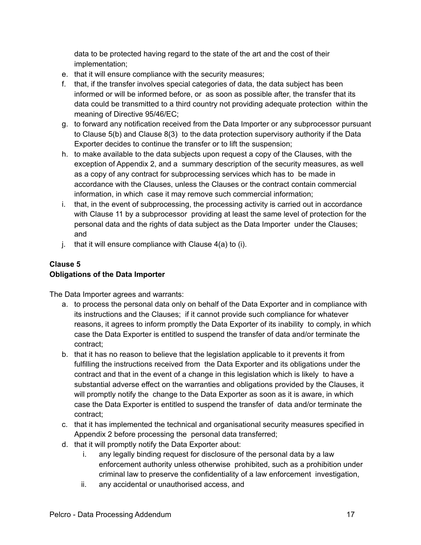data to be protected having regard to the state of the art and the cost of their implementation;

- e. that it will ensure compliance with the security measures;
- f. that, if the transfer involves special categories of data, the data subject has been informed or will be informed before, or as soon as possible after, the transfer that its data could be transmitted to a third country not providing adequate protection within the meaning of Directive 95/46/EC;
- g. to forward any notification received from the Data Importer or any subprocessor pursuant to Clause 5(b) and Clause 8(3) to the data protection supervisory authority if the Data Exporter decides to continue the transfer or to lift the suspension;
- h. to make available to the data subjects upon request a copy of the Clauses, with the exception of Appendix 2, and a summary description of the security measures, as well as a copy of any contract for subprocessing services which has to be made in accordance with the Clauses, unless the Clauses or the contract contain commercial information, in which case it may remove such commercial information;
- i. that, in the event of subprocessing, the processing activity is carried out in accordance with Clause 11 by a subprocessor providing at least the same level of protection for the personal data and the rights of data subject as the Data Importer under the Clauses; and
- j. that it will ensure compliance with Clause 4(a) to (i).

#### **Clause 5 Obligations of the Data Importer**

The Data Importer agrees and warrants:

- a. to process the personal data only on behalf of the Data Exporter and in compliance with its instructions and the Clauses; if it cannot provide such compliance for whatever reasons, it agrees to inform promptly the Data Exporter of its inability to comply, in which case the Data Exporter is entitled to suspend the transfer of data and/or terminate the contract;
- b. that it has no reason to believe that the legislation applicable to it prevents it from fulfilling the instructions received from the Data Exporter and its obligations under the contract and that in the event of a change in this legislation which is likely to have a substantial adverse effect on the warranties and obligations provided by the Clauses, it will promptly notify the change to the Data Exporter as soon as it is aware, in which case the Data Exporter is entitled to suspend the transfer of data and/or terminate the contract;
- c. that it has implemented the technical and organisational security measures specified in Appendix 2 before processing the personal data transferred;
- d. that it will promptly notify the Data Exporter about:
	- i. any legally binding request for disclosure of the personal data by a law enforcement authority unless otherwise prohibited, such as a prohibition under criminal law to preserve the confidentiality of a law enforcement investigation,
	- ii. any accidental or unauthorised access, and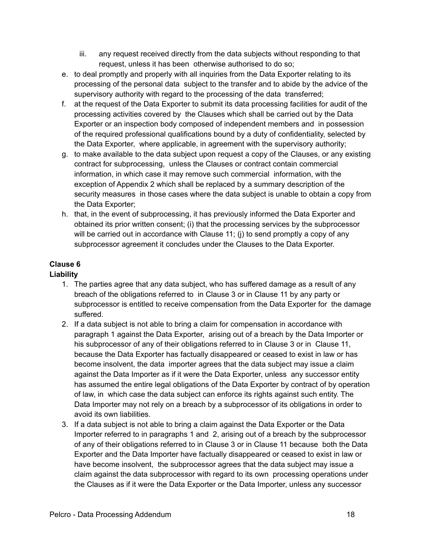- iii. any request received directly from the data subjects without responding to that request, unless it has been otherwise authorised to do so;
- e. to deal promptly and properly with all inquiries from the Data Exporter relating to its processing of the personal data subject to the transfer and to abide by the advice of the supervisory authority with regard to the processing of the data transferred;
- f. at the request of the Data Exporter to submit its data processing facilities for audit of the processing activities covered by the Clauses which shall be carried out by the Data Exporter or an inspection body composed of independent members and in possession of the required professional qualifications bound by a duty of confidentiality, selected by the Data Exporter, where applicable, in agreement with the supervisory authority;
- g. to make available to the data subject upon request a copy of the Clauses, or any existing contract for subprocessing, unless the Clauses or contract contain commercial information, in which case it may remove such commercial information, with the exception of Appendix 2 which shall be replaced by a summary description of the security measures in those cases where the data subject is unable to obtain a copy from the Data Exporter;
- h. that, in the event of subprocessing, it has previously informed the Data Exporter and obtained its prior written consent; (i) that the processing services by the subprocessor will be carried out in accordance with Clause 11; (j) to send promptly a copy of any subprocessor agreement it concludes under the Clauses to the Data Exporter.

#### **Clause 6**

#### **Liability**

- 1. The parties agree that any data subject, who has suffered damage as a result of any breach of the obligations referred to in Clause 3 or in Clause 11 by any party or subprocessor is entitled to receive compensation from the Data Exporter for the damage suffered.
- 2. If a data subject is not able to bring a claim for compensation in accordance with paragraph 1 against the Data Exporter, arising out of a breach by the Data Importer or his subprocessor of any of their obligations referred to in Clause 3 or in Clause 11, because the Data Exporter has factually disappeared or ceased to exist in law or has become insolvent, the data importer agrees that the data subject may issue a claim against the Data Importer as if it were the Data Exporter, unless any successor entity has assumed the entire legal obligations of the Data Exporter by contract of by operation of law, in which case the data subject can enforce its rights against such entity. The Data Importer may not rely on a breach by a subprocessor of its obligations in order to avoid its own liabilities.
- 3. If a data subject is not able to bring a claim against the Data Exporter or the Data Importer referred to in paragraphs 1 and 2, arising out of a breach by the subprocessor of any of their obligations referred to in Clause 3 or in Clause 11 because both the Data Exporter and the Data Importer have factually disappeared or ceased to exist in law or have become insolvent, the subprocessor agrees that the data subject may issue a claim against the data subprocessor with regard to its own processing operations under the Clauses as if it were the Data Exporter or the Data Importer, unless any successor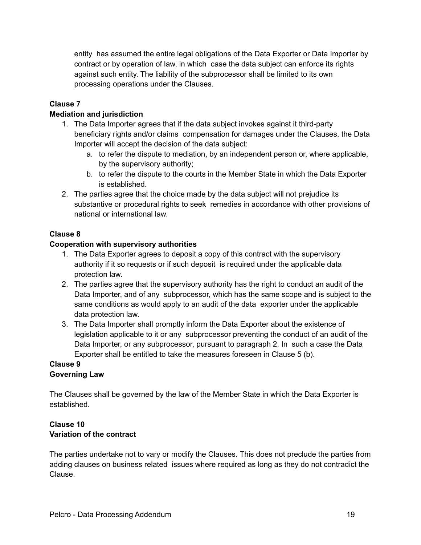entity has assumed the entire legal obligations of the Data Exporter or Data Importer by contract or by operation of law, in which case the data subject can enforce its rights against such entity. The liability of the subprocessor shall be limited to its own processing operations under the Clauses.

#### **Clause 7**

#### **Mediation and jurisdiction**

- 1. The Data Importer agrees that if the data subject invokes against it third-party beneficiary rights and/or claims compensation for damages under the Clauses, the Data Importer will accept the decision of the data subject:
	- a. to refer the dispute to mediation, by an independent person or, where applicable, by the supervisory authority;
	- b. to refer the dispute to the courts in the Member State in which the Data Exporter is established.
- 2. The parties agree that the choice made by the data subject will not prejudice its substantive or procedural rights to seek remedies in accordance with other provisions of national or international law.

#### **Clause 8**

#### **Cooperation with supervisory authorities**

- 1. The Data Exporter agrees to deposit a copy of this contract with the supervisory authority if it so requests or if such deposit is required under the applicable data protection law.
- 2. The parties agree that the supervisory authority has the right to conduct an audit of the Data Importer, and of any subprocessor, which has the same scope and is subject to the same conditions as would apply to an audit of the data exporter under the applicable data protection law.
- 3. The Data Importer shall promptly inform the Data Exporter about the existence of legislation applicable to it or any subprocessor preventing the conduct of an audit of the Data Importer, or any subprocessor, pursuant to paragraph 2. In such a case the Data Exporter shall be entitled to take the measures foreseen in Clause 5 (b).

#### **Clause 9 Governing Law**

The Clauses shall be governed by the law of the Member State in which the Data Exporter is established.

#### **Clause 10 Variation of the contract**

The parties undertake not to vary or modify the Clauses. This does not preclude the parties from adding clauses on business related issues where required as long as they do not contradict the Clause.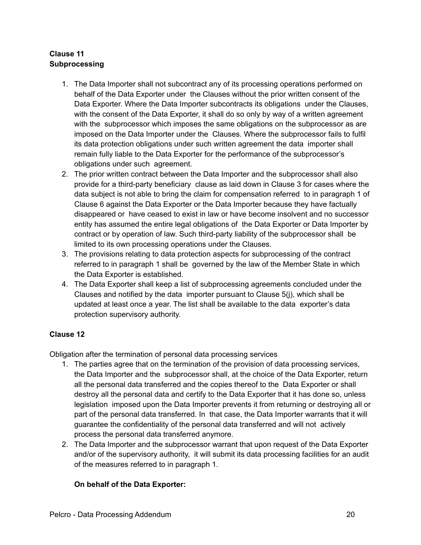#### **Clause 11 Subprocessing**

- 1. The Data Importer shall not subcontract any of its processing operations performed on behalf of the Data Exporter under the Clauses without the prior written consent of the Data Exporter. Where the Data Importer subcontracts its obligations under the Clauses, with the consent of the Data Exporter, it shall do so only by way of a written agreement with the subprocessor which imposes the same obligations on the subprocessor as are imposed on the Data Importer under the Clauses. Where the subprocessor fails to fulfil its data protection obligations under such written agreement the data importer shall remain fully liable to the Data Exporter for the performance of the subprocessor's obligations under such agreement.
- 2. The prior written contract between the Data Importer and the subprocessor shall also provide for a third-party beneficiary clause as laid down in Clause 3 for cases where the data subject is not able to bring the claim for compensation referred to in paragraph 1 of Clause 6 against the Data Exporter or the Data Importer because they have factually disappeared or have ceased to exist in law or have become insolvent and no successor entity has assumed the entire legal obligations of the Data Exporter or Data Importer by contract or by operation of law. Such third-party liability of the subprocessor shall be limited to its own processing operations under the Clauses.
- 3. The provisions relating to data protection aspects for subprocessing of the contract referred to in paragraph 1 shall be governed by the law of the Member State in which the Data Exporter is established.
- 4. The Data Exporter shall keep a list of subprocessing agreements concluded under the Clauses and notified by the data importer pursuant to Clause 5(j), which shall be updated at least once a year. The list shall be available to the data exporter's data protection supervisory authority.

#### **Clause 12**

Obligation after the termination of personal data processing services

- 1. The parties agree that on the termination of the provision of data processing services, the Data Importer and the subprocessor shall, at the choice of the Data Exporter, return all the personal data transferred and the copies thereof to the Data Exporter or shall destroy all the personal data and certify to the Data Exporter that it has done so, unless legislation imposed upon the Data Importer prevents it from returning or destroying all or part of the personal data transferred. In that case, the Data Importer warrants that it will guarantee the confidentiality of the personal data transferred and will not actively process the personal data transferred anymore.
- 2. The Data Importer and the subprocessor warrant that upon request of the Data Exporter and/or of the supervisory authority, it will submit its data processing facilities for an audit of the measures referred to in paragraph 1.

#### **On behalf of the Data Exporter:**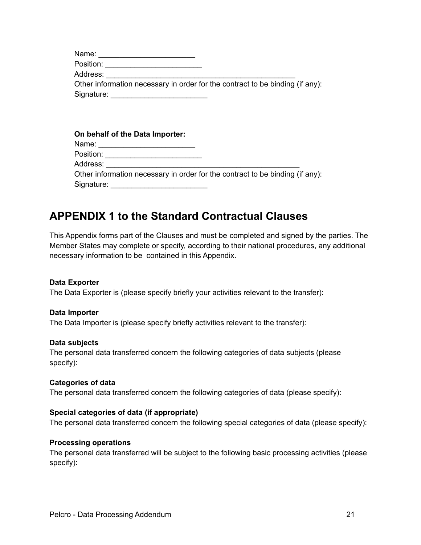| Name:      |                                                                               |
|------------|-------------------------------------------------------------------------------|
| Position:  |                                                                               |
| Address:   |                                                                               |
|            | Other information necessary in order for the contract to be binding (if any): |
| Signature: |                                                                               |
|            |                                                                               |

| On behalf of the Data Importer:   |                                                                               |
|-----------------------------------|-------------------------------------------------------------------------------|
| Name: _______________________     |                                                                               |
| Position: _______________________ |                                                                               |
| Address:                          |                                                                               |
|                                   | Other information necessary in order for the contract to be binding (if any): |
| Signature:                        |                                                                               |

### **APPENDIX 1 to the Standard Contractual Clauses**

This Appendix forms part of the Clauses and must be completed and signed by the parties. The Member States may complete or specify, according to their national procedures, any additional necessary information to be contained in this Appendix.

#### **Data Exporter**

The Data Exporter is (please specify briefly your activities relevant to the transfer):

#### **Data Importer**

The Data Importer is (please specify briefly activities relevant to the transfer):

#### **Data subjects**

The personal data transferred concern the following categories of data subjects (please specify):

#### **Categories of data**

The personal data transferred concern the following categories of data (please specify):

#### **Special categories of data (if appropriate)**

The personal data transferred concern the following special categories of data (please specify):

#### **Processing operations**

The personal data transferred will be subject to the following basic processing activities (please specify):